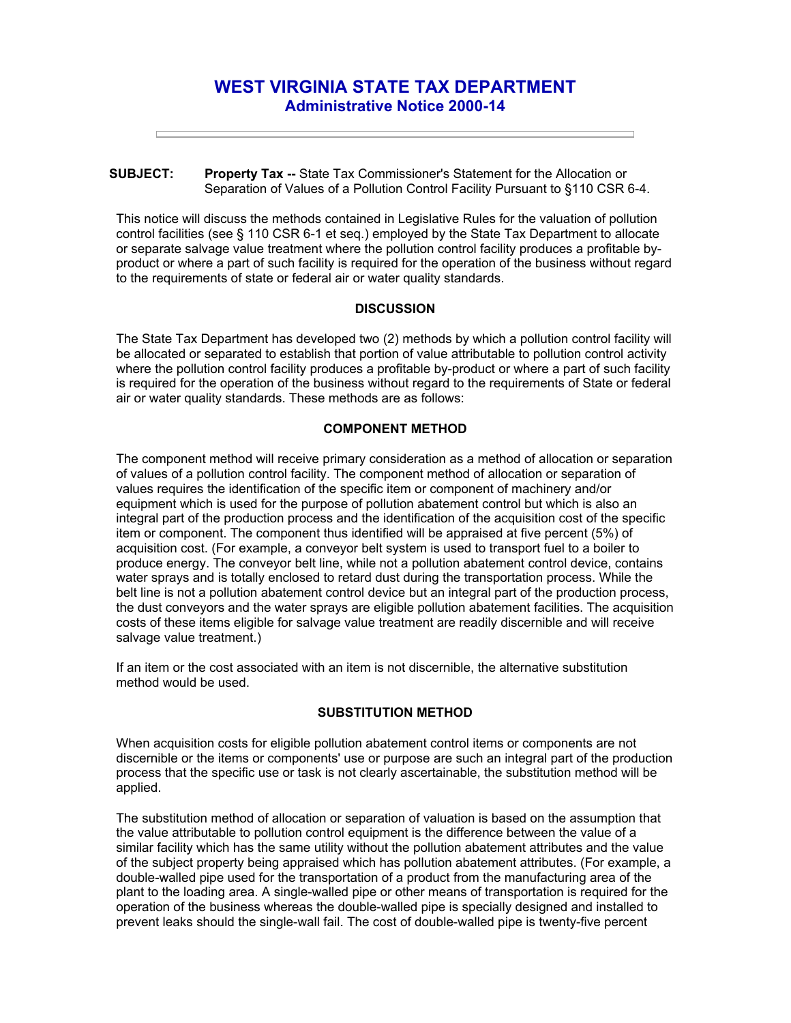# **WEST VIRGINIA STATE TAX DEPARTMENT Administrative Notice 2000-14**

### **SUBJECT: Property Tax --** State Tax Commissioner's Statement for the Allocation or Separation of Values of a Pollution Control Facility Pursuant to §110 CSR 6-4.

This notice will discuss the methods contained in Legislative Rules for the valuation of pollution control facilities (see § 110 CSR 6-1 et seq.) employed by the State Tax Department to allocate or separate salvage value treatment where the pollution control facility produces a profitable byproduct or where a part of such facility is required for the operation of the business without regard to the requirements of state or federal air or water quality standards.

## **DISCUSSION**

The State Tax Department has developed two (2) methods by which a pollution control facility will be allocated or separated to establish that portion of value attributable to pollution control activity where the pollution control facility produces a profitable by-product or where a part of such facility is required for the operation of the business without regard to the requirements of State or federal air or water quality standards. These methods are as follows:

# **COMPONENT METHOD**

The component method will receive primary consideration as a method of allocation or separation of values of a pollution control facility. The component method of allocation or separation of values requires the identification of the specific item or component of machinery and/or equipment which is used for the purpose of pollution abatement control but which is also an integral part of the production process and the identification of the acquisition cost of the specific item or component. The component thus identified will be appraised at five percent (5%) of acquisition cost. (For example, a conveyor belt system is used to transport fuel to a boiler to produce energy. The conveyor belt line, while not a pollution abatement control device, contains water sprays and is totally enclosed to retard dust during the transportation process. While the belt line is not a pollution abatement control device but an integral part of the production process, the dust conveyors and the water sprays are eligible pollution abatement facilities. The acquisition costs of these items eligible for salvage value treatment are readily discernible and will receive salvage value treatment.)

If an item or the cost associated with an item is not discernible, the alternative substitution method would be used.

## **SUBSTITUTION METHOD**

When acquisition costs for eligible pollution abatement control items or components are not discernible or the items or components' use or purpose are such an integral part of the production process that the specific use or task is not clearly ascertainable, the substitution method will be applied.

The substitution method of allocation or separation of valuation is based on the assumption that the value attributable to pollution control equipment is the difference between the value of a similar facility which has the same utility without the pollution abatement attributes and the value of the subject property being appraised which has pollution abatement attributes. (For example, a double-walled pipe used for the transportation of a product from the manufacturing area of the plant to the loading area. A single-walled pipe or other means of transportation is required for the operation of the business whereas the double-walled pipe is specially designed and installed to prevent leaks should the single-wall fail. The cost of double-walled pipe is twenty-five percent